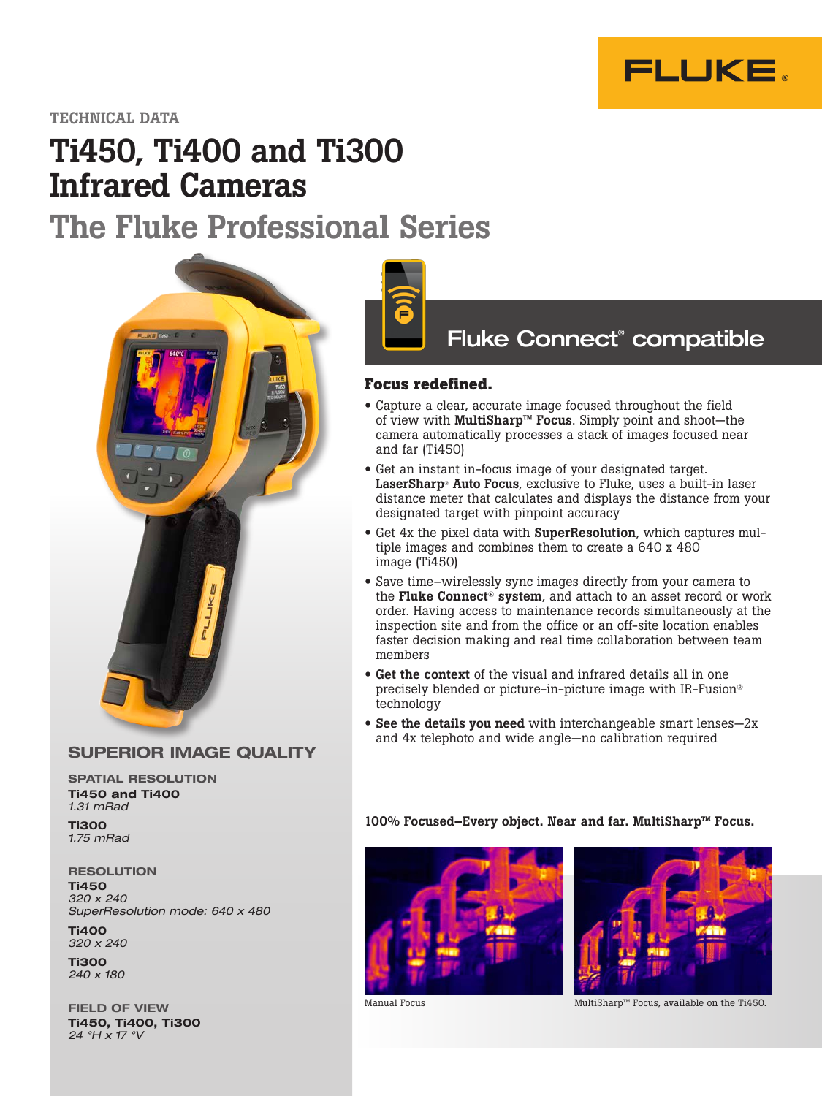

# Ti450, Ti400 and Ti300 Infrared Cameras

# The Fluke Professional Series



### SUPERIOR IMAGE QUALITY

SPATIAL RESOLUTION Ti450 and Ti400 *1.31 mRad*

Ti300 *1.75 mRad*

**RESOLUTION** Ti450 *320 x 240 SuperResolution mode: 640 x 480*

Ti400 *320 x 240*

Ti300 *240 x 180*

FIELD OF VIEW Ti450, Ti400, Ti300 *24 °H x 17 °V*



# Fluke Connect® compatible

#### **Focus redefined.**

- Capture a clear, accurate image focused throughout the field of view with MultiSharp™ Focus. Simply point and shoot—the camera automatically processes a stack of images focused near and far (Ti450)
- Get an instant in-focus image of your designated target. LaserSharp® Auto Focus, exclusive to Fluke, uses a built-in laser distance meter that calculates and displays the distance from your designated target with pinpoint accuracy
- Get 4x the pixel data with **SuperResolution**, which captures multiple images and combines them to create a 640 x 480 image (Ti450)
- Save time–wirelessly sync images directly from your camera to the Fluke Connect<sup>®</sup> system, and attach to an asset record or work order. Having access to maintenance records simultaneously at the inspection site and from the office or an off-site location enables faster decision making and real time collaboration between team members
- Get the context of the visual and infrared details all in one precisely blended or picture-in-picture image with IR-Fusion® technology
- See the details you need with interchangeable smart lenses—2x and 4x telephoto and wide angle—no calibration required

100% Focused–Every object. Near and far. MultiSharp™ Focus.





Manual Focus MultiSharp™ Focus, available on the Ti450.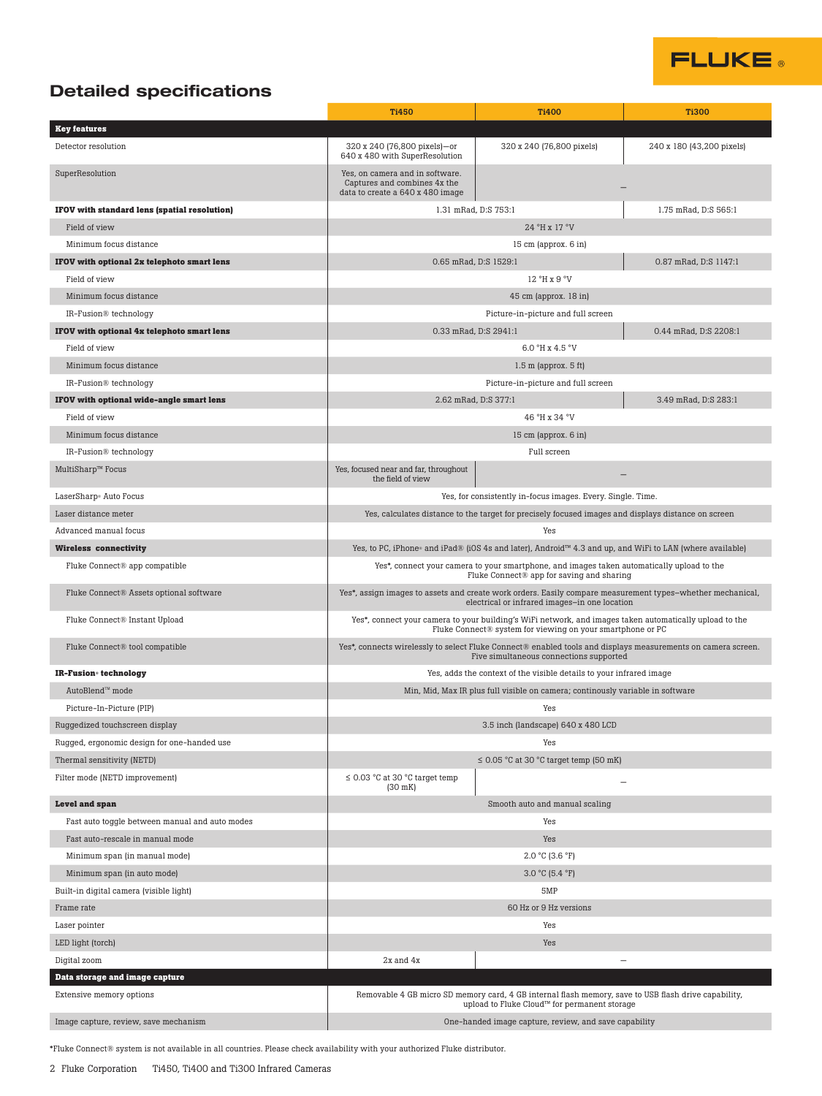

## Detailed specifications

|                                                              | <b>Ti450</b>                                                                                                                                                          | <b>Ti400</b>                                                                                                                                         | <b>Ti300</b>              |
|--------------------------------------------------------------|-----------------------------------------------------------------------------------------------------------------------------------------------------------------------|------------------------------------------------------------------------------------------------------------------------------------------------------|---------------------------|
| <b>Key features</b>                                          |                                                                                                                                                                       |                                                                                                                                                      |                           |
| Detector resolution                                          | 320 x 240 (76,800 pixels)-or<br>640 x 480 with SuperResolution                                                                                                        | 320 x 240 (76,800 pixels)                                                                                                                            | 240 x 180 (43,200 pixels) |
| SuperResolution                                              | Yes, on camera and in software.<br>Captures and combines 4x the<br>data to create a 640 x 480 image                                                                   |                                                                                                                                                      |                           |
| IFOV with standard lens (spatial resolution)                 | 1.31 mRad, D:S 753:1                                                                                                                                                  |                                                                                                                                                      | 1.75 mRad, D:S 565:1      |
| Field of view                                                |                                                                                                                                                                       | 24 °H x 17 °V                                                                                                                                        |                           |
| Minimum focus distance                                       | 15 cm (approx. 6 in)                                                                                                                                                  |                                                                                                                                                      |                           |
| IFOV with optional 2x telephoto smart lens                   | 0.65 mRad, D:S 1529:1                                                                                                                                                 |                                                                                                                                                      | 0.87 mRad, D:S 1147:1     |
| Field of view                                                | 12 °H x 9 °V                                                                                                                                                          |                                                                                                                                                      |                           |
| Minimum focus distance                                       | 45 cm (approx. 18 in)                                                                                                                                                 |                                                                                                                                                      |                           |
| IR-Fusion® technology                                        | Picture-in-picture and full screen                                                                                                                                    |                                                                                                                                                      |                           |
| IFOV with optional 4x telephoto smart lens                   | 0.33 mRad, D:S 2941:1<br>0.44 mRad, D:S 2208:1                                                                                                                        |                                                                                                                                                      |                           |
| Field of view                                                | 6.0 °H x 4.5 °V                                                                                                                                                       |                                                                                                                                                      |                           |
| Minimum focus distance                                       | $1.5$ m (approx. $5$ ft)                                                                                                                                              |                                                                                                                                                      |                           |
| IR-Fusion® technology                                        | Picture-in-picture and full screen                                                                                                                                    |                                                                                                                                                      |                           |
| IFOV with optional wide-angle smart lens                     |                                                                                                                                                                       | 2.62 mRad, D:S 377:1                                                                                                                                 | 3.49 mRad, D:S 283:1      |
| Field of view                                                |                                                                                                                                                                       | 46°H x 34°V                                                                                                                                          |                           |
| Minimum focus distance                                       | 15 cm (approx. 6 in)                                                                                                                                                  |                                                                                                                                                      |                           |
| IR-Fusion® technology                                        |                                                                                                                                                                       | Full screen                                                                                                                                          |                           |
| MultiSharp™ Focus                                            | Yes, focused near and far, throughout<br>the field of view                                                                                                            |                                                                                                                                                      |                           |
| LaserSharp <sup>®</sup> Auto Focus                           | Yes, for consistently in-focus images. Every. Single. Time.                                                                                                           |                                                                                                                                                      |                           |
| Laser distance meter                                         |                                                                                                                                                                       | Yes, calculates distance to the target for precisely focused images and displays distance on screen                                                  |                           |
| Advanced manual focus                                        | Yes                                                                                                                                                                   |                                                                                                                                                      |                           |
| <b>Wireless connectivity</b>                                 | Yes, to PC, iPhone® and iPad® (iOS 4s and later), Android™ 4.3 and up, and WiFi to LAN (where available)                                                              |                                                                                                                                                      |                           |
| Fluke Connect® app compatible                                | Yes*, connect your camera to your smartphone, and images taken automatically upload to the<br>Fluke Connect® app for saving and sharing                               |                                                                                                                                                      |                           |
| Fluke Connect® Assets optional software                      | Yes*, assign images to assets and create work orders. Easily compare measurement types-whether mechanical,<br>electrical or infrared images-in one location           |                                                                                                                                                      |                           |
| Fluke Connect® Instant Upload                                | Yes*, connect your camera to your building's WiFi network, and images taken automatically upload to the<br>Fluke Connect® system for viewing on your smartphone or PC |                                                                                                                                                      |                           |
| Fluke Connect® tool compatible                               | Yes*, connects wirelessly to select Fluke Connect® enabled tools and displays measurements on camera screen.<br>Five simultaneous connections supported               |                                                                                                                                                      |                           |
| IR-Fusion <sup>®</sup> technology                            | Yes, adds the context of the visible details to your infrared image                                                                                                   |                                                                                                                                                      |                           |
| AutoBlend™ mode                                              | Min, Mid, Max IR plus full visible on camera; continously variable in software                                                                                        |                                                                                                                                                      |                           |
| Picture-In-Picture (PIP)                                     | Yes                                                                                                                                                                   |                                                                                                                                                      |                           |
| Ruggedized touchscreen display                               |                                                                                                                                                                       | 3.5 inch (landscape) 640 x 480 LCD                                                                                                                   |                           |
| Rugged, ergonomic design for one-handed use                  |                                                                                                                                                                       | Yes                                                                                                                                                  |                           |
| Thermal sensitivity (NETD)<br>Filter mode (NETD improvement) | $\leq$ 0.03 °C at 30 °C target temp<br>$(30$ mK)                                                                                                                      | $\leq$ 0.05 °C at 30 °C target temp (50 mK)<br>$\overline{\phantom{0}}$                                                                              |                           |
| <b>Level and span</b>                                        |                                                                                                                                                                       | Smooth auto and manual scaling                                                                                                                       |                           |
| Fast auto toggle between manual and auto modes               | Yes                                                                                                                                                                   |                                                                                                                                                      |                           |
| Fast auto-rescale in manual mode                             | Yes                                                                                                                                                                   |                                                                                                                                                      |                           |
| Minimum span (in manual mode)                                | $2.0 °C$ (3.6 °F)                                                                                                                                                     |                                                                                                                                                      |                           |
| Minimum span (in auto mode)                                  | $3.0 °C$ (5.4 °F)                                                                                                                                                     |                                                                                                                                                      |                           |
| Built-in digital camera (visible light)                      | 5MP                                                                                                                                                                   |                                                                                                                                                      |                           |
| Frame rate                                                   | 60 Hz or 9 Hz versions                                                                                                                                                |                                                                                                                                                      |                           |
| Laser pointer                                                | Yes                                                                                                                                                                   |                                                                                                                                                      |                           |
| LED light (torch)                                            | Yes                                                                                                                                                                   |                                                                                                                                                      |                           |
| Digital zoom                                                 | 2x and 4x                                                                                                                                                             | $\!-$                                                                                                                                                |                           |
| Data storage and image capture                               |                                                                                                                                                                       |                                                                                                                                                      |                           |
| Extensive memory options                                     |                                                                                                                                                                       | Removable 4 GB micro SD memory card, 4 GB internal flash memory, save to USB flash drive capability,<br>upload to Fluke Cloud™ for permanent storage |                           |
| Image capture, review, save mechanism                        | One-handed image capture, review, and save capability                                                                                                                 |                                                                                                                                                      |                           |

\*Fluke Connect® system is not available in all countries. Please check availability with your authorized Fluke distributor.

2 Fluke Corporation Ti450, Ti400 and Ti300 Infrared Cameras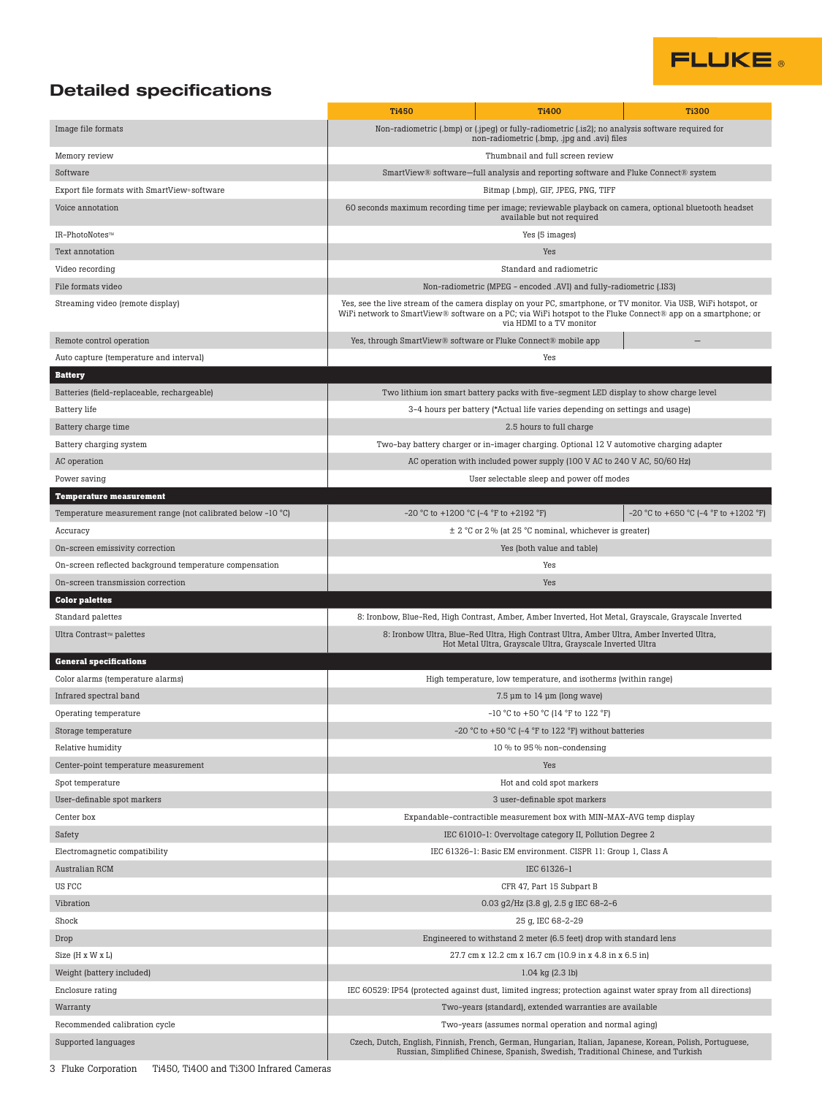# **FLUKE**

### Detailed specifications

|                                                             | <b>Ti450</b>                                                                                                                                                                                                                                               | <b>Ti400</b>                                                                                                                                    | <b>Ti300</b>                                   |  |
|-------------------------------------------------------------|------------------------------------------------------------------------------------------------------------------------------------------------------------------------------------------------------------------------------------------------------------|-------------------------------------------------------------------------------------------------------------------------------------------------|------------------------------------------------|--|
| Image file formats                                          |                                                                                                                                                                                                                                                            | Non-radiometric (.bmp) or (.jpeg) or fully-radiometric (.is2); no analysis software required for<br>non-radiometric (.bmp, .jpg and .avi) files |                                                |  |
| Memory review                                               | Thumbnail and full screen review                                                                                                                                                                                                                           |                                                                                                                                                 |                                                |  |
| Software                                                    | SmartView® software-full analysis and reporting software and Fluke Connect® system                                                                                                                                                                         |                                                                                                                                                 |                                                |  |
| Export file formats with SmartView» software                | Bitmap (.bmp), GIF, JPEG, PNG, TIFF                                                                                                                                                                                                                        |                                                                                                                                                 |                                                |  |
| Voice annotation                                            | 60 seconds maximum recording time per image; reviewable playback on camera, optional bluetooth headset<br>available but not required                                                                                                                       |                                                                                                                                                 |                                                |  |
| IR-PhotoNotes™                                              | Yes (5 images)                                                                                                                                                                                                                                             |                                                                                                                                                 |                                                |  |
| Text annotation                                             |                                                                                                                                                                                                                                                            | Yes                                                                                                                                             |                                                |  |
| Video recording                                             | Standard and radiometric                                                                                                                                                                                                                                   |                                                                                                                                                 |                                                |  |
| File formats video                                          | Non-radiometric (MPEG - encoded .AVI) and fully-radiometric (.IS3)                                                                                                                                                                                         |                                                                                                                                                 |                                                |  |
| Streaming video (remote display)                            | Yes, see the live stream of the camera display on your PC, smartphone, or TV monitor. Via USB, WiFi hotspot, or<br>WiFi network to SmartView® software on a PC; via WiFi hotspot to the Fluke Connect® app on a smartphone; or<br>via HDMI to a TV monitor |                                                                                                                                                 |                                                |  |
| Remote control operation                                    |                                                                                                                                                                                                                                                            | Yes, through SmartView® software or Fluke Connect® mobile app                                                                                   |                                                |  |
| Auto capture (temperature and interval)                     |                                                                                                                                                                                                                                                            | Yes                                                                                                                                             |                                                |  |
| <b>Battery</b>                                              |                                                                                                                                                                                                                                                            |                                                                                                                                                 |                                                |  |
| Batteries (field-replaceable, rechargeable)                 |                                                                                                                                                                                                                                                            | Two lithium ion smart battery packs with five-segment LED display to show charge level                                                          |                                                |  |
| <b>Battery</b> life                                         | 3-4 hours per battery (*Actual life varies depending on settings and usage)                                                                                                                                                                                |                                                                                                                                                 |                                                |  |
| Battery charge time                                         | 2.5 hours to full charge                                                                                                                                                                                                                                   |                                                                                                                                                 |                                                |  |
| Battery charging system                                     |                                                                                                                                                                                                                                                            | Two-bay battery charger or in-imager charging. Optional 12 V automotive charging adapter                                                        |                                                |  |
| AC operation                                                | AC operation with included power supply (100 V AC to 240 V AC, 50/60 Hz)                                                                                                                                                                                   |                                                                                                                                                 |                                                |  |
| Power saving                                                |                                                                                                                                                                                                                                                            | User selectable sleep and power off modes                                                                                                       |                                                |  |
| <b>Temperature measurement</b>                              |                                                                                                                                                                                                                                                            |                                                                                                                                                 |                                                |  |
| Temperature measurement range (not calibrated below -10 °C) |                                                                                                                                                                                                                                                            | $-20$ °C to $+1200$ °C ( $-4$ °F to $+2192$ °F)                                                                                                 | $-20$ °C to $+650$ °C ( $-4$ °F to $+1202$ °F) |  |
| Accuracy                                                    |                                                                                                                                                                                                                                                            | ± 2 °C or 2 % (at 25 °C nominal, whichever is greater)                                                                                          |                                                |  |
| On-screen emissivity correction                             |                                                                                                                                                                                                                                                            | Yes (both value and table)                                                                                                                      |                                                |  |
| On-screen reflected background temperature compensation     |                                                                                                                                                                                                                                                            | Yes                                                                                                                                             |                                                |  |
| On-screen transmission correction                           |                                                                                                                                                                                                                                                            | Yes                                                                                                                                             |                                                |  |
| <b>Color palettes</b>                                       |                                                                                                                                                                                                                                                            |                                                                                                                                                 |                                                |  |
| Standard palettes                                           |                                                                                                                                                                                                                                                            | 8: Ironbow, Blue-Red, High Contrast, Amber, Amber Inverted, Hot Metal, Grayscale, Grayscale Inverted                                            |                                                |  |
| Ultra Contrast™ palettes                                    | 8: Ironbow Ultra, Blue-Red Ultra, High Contrast Ultra, Amber Ultra, Amber Inverted Ultra,                                                                                                                                                                  |                                                                                                                                                 |                                                |  |
|                                                             |                                                                                                                                                                                                                                                            | Hot Metal Ultra, Grayscale Ultra, Grayscale Inverted Ultra                                                                                      |                                                |  |
| <b>General specifications</b>                               |                                                                                                                                                                                                                                                            |                                                                                                                                                 |                                                |  |
| Color alarms (temperature alarms)                           | High temperature, low temperature, and isotherms (within range)                                                                                                                                                                                            |                                                                                                                                                 |                                                |  |
| Infrared spectral band                                      | $7.5 \mu m$ to 14 $\mu$ m (long wave)                                                                                                                                                                                                                      |                                                                                                                                                 |                                                |  |
| Operating temperature                                       | $-10$ °C to $+50$ °C (14 °F to 122 °F)                                                                                                                                                                                                                     |                                                                                                                                                 |                                                |  |
| Storage temperature                                         | -20 °C to +50 °C (-4 °F to 122 °F) without batteries                                                                                                                                                                                                       |                                                                                                                                                 |                                                |  |
| Relative humidity                                           | 10 % to 95 % non-condensing                                                                                                                                                                                                                                |                                                                                                                                                 |                                                |  |
| Center-point temperature measurement                        |                                                                                                                                                                                                                                                            | Yes                                                                                                                                             |                                                |  |
| Spot temperature                                            | Hot and cold spot markers                                                                                                                                                                                                                                  |                                                                                                                                                 |                                                |  |
| User-definable spot markers                                 | 3 user-definable spot markers                                                                                                                                                                                                                              |                                                                                                                                                 |                                                |  |
| Center box                                                  | Expandable-contractible measurement box with MIN-MAX-AVG temp display                                                                                                                                                                                      |                                                                                                                                                 |                                                |  |
| Safety                                                      | IEC 61010-1: Overvoltage category II, Pollution Degree 2                                                                                                                                                                                                   |                                                                                                                                                 |                                                |  |
| Electromagnetic compatibility                               | IEC 61326-1: Basic EM environment. CISPR 11: Group 1, Class A                                                                                                                                                                                              |                                                                                                                                                 |                                                |  |
| Australian RCM                                              | IEC 61326-1                                                                                                                                                                                                                                                |                                                                                                                                                 |                                                |  |
| US FCC                                                      | CFR 47, Part 15 Subpart B                                                                                                                                                                                                                                  |                                                                                                                                                 |                                                |  |
| Vibration                                                   | 0.03 g2/Hz (3.8 g), 2.5 g IEC 68-2-6                                                                                                                                                                                                                       |                                                                                                                                                 |                                                |  |
| Shock                                                       |                                                                                                                                                                                                                                                            | 25 g, IEC 68-2-29                                                                                                                               |                                                |  |
| Drop                                                        | Engineered to withstand 2 meter (6.5 feet) drop with standard lens                                                                                                                                                                                         |                                                                                                                                                 |                                                |  |
| Size (H x W x L)                                            | 27.7 cm x 12.2 cm x 16.7 cm (10.9 in x 4.8 in x 6.5 in)                                                                                                                                                                                                    |                                                                                                                                                 |                                                |  |
| Weight (battery included)                                   | $1.04$ kg $(2.3$ lb)                                                                                                                                                                                                                                       |                                                                                                                                                 |                                                |  |
| Enclosure rating                                            | IEC 60529: IP54 (protected against dust, limited ingress; protection against water spray from all directions)                                                                                                                                              |                                                                                                                                                 |                                                |  |
| Warranty                                                    | Two-years (standard), extended warranties are available                                                                                                                                                                                                    |                                                                                                                                                 |                                                |  |
| Recommended calibration cycle                               | Two-years (assumes normal operation and normal aging)                                                                                                                                                                                                      |                                                                                                                                                 |                                                |  |
| Supported languages                                         | Czech, Dutch, English, Finnish, French, German, Hungarian, Italian, Japanese, Korean, Polish, Portuguese,<br>Russian, Simplified Chinese, Spanish, Swedish, Traditional Chinese, and Turkish                                                               |                                                                                                                                                 |                                                |  |